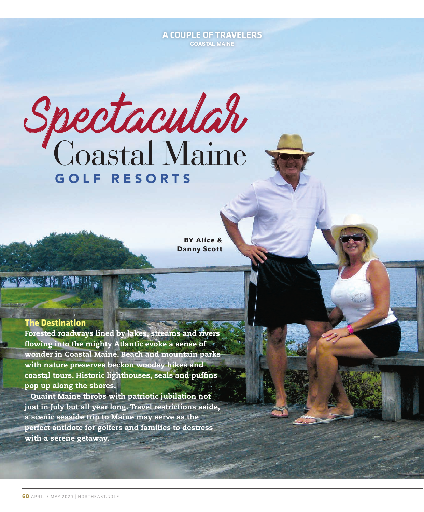# **A COUPLE OF TRAVELERS COASTAL MAINE**

Spectacular Coastal Maine GOLF RESORTS

BY Alice & Danny Scott

# **The Destination**

Forested roadways lined by lakes, streams and rivers flowing into the mighty Atlantic evoke a sense of  $\rightarrow$ wonder in Coastal Maine. Beach and mountain parks with nature preserves beckon woodsy hikes and coastal tours. Historic lighthouses, seals and puffins pop up along the shores.

Quaint Maine throbs with patriotic jubilation not just in July but all year long. Travel restrictions aside, a scenic seaside trip to Maine may serve as the perfect antidote for golfers and families to destress with a serene getaway.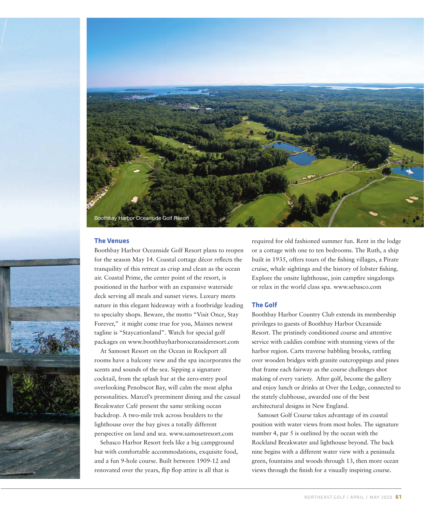

#### **The Venues**

Boothbay Harbor Oceanside Golf Resort plans to reopen for the season May 14. Coastal cottage décor reflects the tranquility of this retreat as crisp and clean as the ocean air. Coastal Prime, the center point of the resort, is positioned in the harbor with an expansive waterside deck serving all meals and sunset views. Luxury meets nature in this elegant hideaway with a footbridge leading to specialty shops. Beware, the motto "Visit Once, Stay Forever," it might come true for you, Maines newest tagline is "Staycationland". Watch for special golf packages on www.boothbayharboroceansideresort.com

At Samoset Resort on the Ocean in Rockport all rooms have a balcony view and the spa incorporates the scents and sounds of the sea. Sipping a signature cocktail, from the splash bar at the zero-entry pool overlooking Penobscot Bay, will calm the most alpha personalities. Marcel's preeminent dining and the casual Breakwater Café present the same striking ocean backdrop. A two-mile trek across boulders to the lighthouse over the bay gives a totally different perspective on land and sea. www.samosetresort.com

Sebasco Harbor Resort feels like a big campground but with comfortable accommodations, exquisite food, and a fun 9-hole course. Built between 1909-12 and renovated over the years, flip flop attire is all that is

required for old fashioned summer fun. Rent in the lodge or a cottage with one to ten bedrooms. The Ruth, a ship built in 1935, offers tours of the fishing villages, a Pirate cruise, whale sightings and the history of lobster fishing. Explore the onsite lighthouse, join campfire singalongs or relax in the world class spa. www.sebasco.com

#### **The Golf**

Boothbay Harbor Country Club extends its membership privileges to guests of Boothbay Harbor Oceanside Resort. The pristinely conditioned course and attentive service with caddies combine with stunning views of the harbor region. Carts traverse babbling brooks, rattling over wooden bridges with granite outcroppings and pines that frame each fairway as the course challenges shot making of every variety. After golf, become the gallery and enjoy lunch or drinks at Over the Ledge, connected to the stately clubhouse, awarded one of the best architectural designs in New England.

Samoset Golf Course takes advantage of its coastal position with water views from most holes. The signature number 4, par 5 is outlined by the ocean with the Rockland Breakwater and lighthouse beyond. The back nine begins with a different water view with a peninsula green, fountains and woods through 13, then more ocean views through the finish for a visually inspiring course.